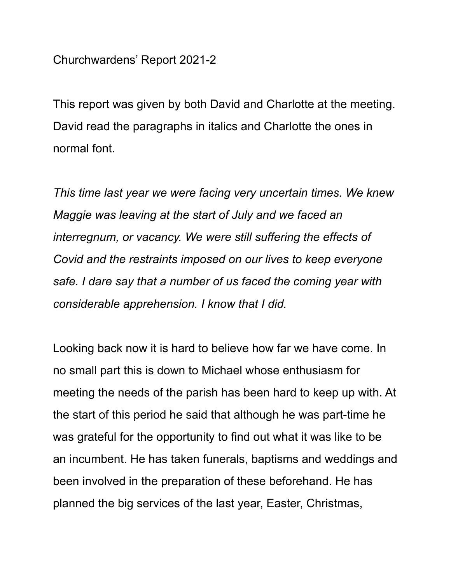Churchwardens' Report 2021-2

This report was given by both David and Charlotte at the meeting. David read the paragraphs in italics and Charlotte the ones in normal font.

*This time last year we were facing very uncertain times. We knew Maggie was leaving at the start of July and we faced an interregnum, or vacancy. We were still suffering the effects of Covid and the restraints imposed on our lives to keep everyone safe. I dare say that a number of us faced the coming year with considerable apprehension. I know that I did.*

Looking back now it is hard to believe how far we have come. In no small part this is down to Michael whose enthusiasm for meeting the needs of the parish has been hard to keep up with. At the start of this period he said that although he was part-time he was grateful for the opportunity to find out what it was like to be an incumbent. He has taken funerals, baptisms and weddings and been involved in the preparation of these beforehand. He has planned the big services of the last year, Easter, Christmas,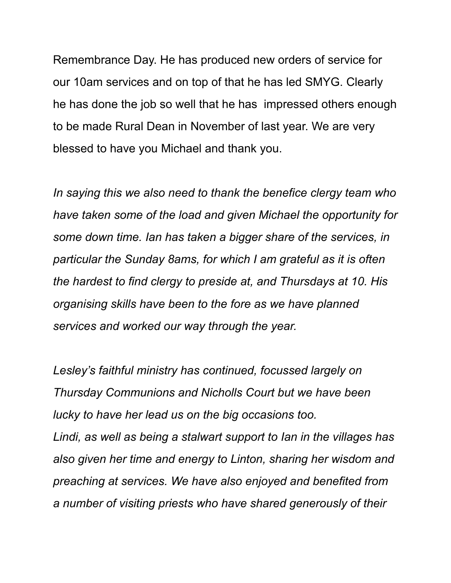Remembrance Day. He has produced new orders of service for our 10am services and on top of that he has led SMYG. Clearly he has done the job so well that he has impressed others enough to be made Rural Dean in November of last year. We are very blessed to have you Michael and thank you.

*In saying this we also need to thank the benefice clergy team who have taken some of the load and given Michael the opportunity for some down time. Ian has taken a bigger share of the services, in particular the Sunday 8ams, for which I am grateful as it is often the hardest to find clergy to preside at, and Thursdays at 10. His organising skills have been to the fore as we have planned services and worked our way through the year.*

*Lesley's faithful ministry has continued, focussed largely on Thursday Communions and Nicholls Court but we have been lucky to have her lead us on the big occasions too. Lindi, as well as being a stalwart support to Ian in the villages has also given her time and energy to Linton, sharing her wisdom and preaching at services. We have also enjoyed and benefited from a number of visiting priests who have shared generously of their*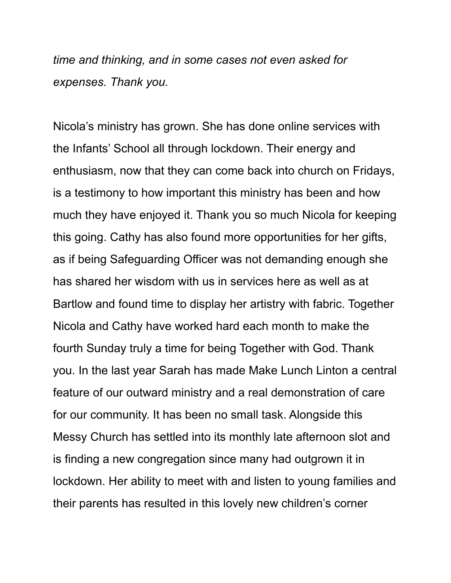*time and thinking, and in some cases not even asked for expenses. Thank you.*

Nicola's ministry has grown. She has done online services with the Infants' School all through lockdown. Their energy and enthusiasm, now that they can come back into church on Fridays, is a testimony to how important this ministry has been and how much they have enjoyed it. Thank you so much Nicola for keeping this going. Cathy has also found more opportunities for her gifts, as if being Safeguarding Officer was not demanding enough she has shared her wisdom with us in services here as well as at Bartlow and found time to display her artistry with fabric. Together Nicola and Cathy have worked hard each month to make the fourth Sunday truly a time for being Together with God. Thank you. In the last year Sarah has made Make Lunch Linton a central feature of our outward ministry and a real demonstration of care for our community. It has been no small task. Alongside this Messy Church has settled into its monthly late afternoon slot and is finding a new congregation since many had outgrown it in lockdown. Her ability to meet with and listen to young families and their parents has resulted in this lovely new children's corner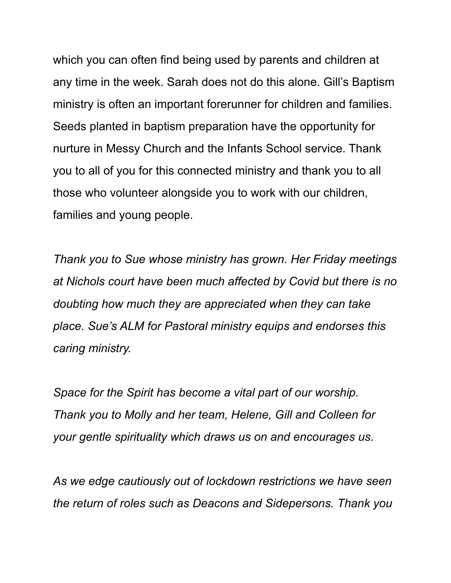which you can often find being used by parents and children at any time in the week. Sarah does not do this alone. Gill's Baptism ministry is often an important forerunner for children and families. Seeds planted in baptism preparation have the opportunity for nurture in Messy Church and the Infants School service. Thank you to all of you for this connected ministry and thank you to all those who volunteer alongside you to work with our children, families and young people.

*Thank you to Sue whose ministry has grown. Her Friday meetings at Nichols court have been much affected by Covid but there is no doubting how much they are appreciated when they can take place. Sue's ALM for Pastoral ministry equips and endorses this caring ministry.*

*Space for the Spirit has become a vital part of our worship. Thank you to Molly and her team, Helene, Gill and Colleen for your gentle spirituality which draws us on and encourages us.*

*As we edge cautiously out of lockdown restrictions we have seen the return of roles such as Deacons and Sidepersons. Thank you*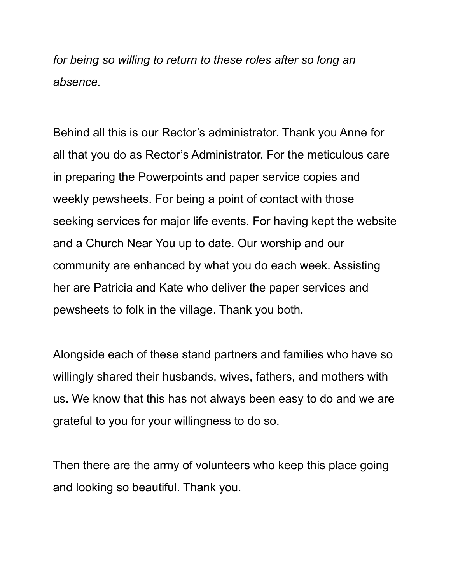*for being so willing to return to these roles after so long an absence.*

Behind all this is our Rector's administrator. Thank you Anne for all that you do as Rector's Administrator. For the meticulous care in preparing the Powerpoints and paper service copies and weekly pewsheets. For being a point of contact with those seeking services for major life events. For having kept the website and a Church Near You up to date. Our worship and our community are enhanced by what you do each week. Assisting her are Patricia and Kate who deliver the paper services and pewsheets to folk in the village. Thank you both.

Alongside each of these stand partners and families who have so willingly shared their husbands, wives, fathers, and mothers with us. We know that this has not always been easy to do and we are grateful to you for your willingness to do so.

Then there are the army of volunteers who keep this place going and looking so beautiful. Thank you.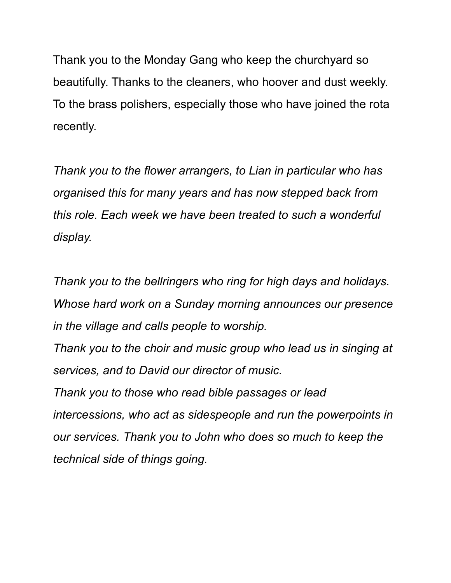Thank you to the Monday Gang who keep the churchyard so beautifully. Thanks to the cleaners, who hoover and dust weekly. To the brass polishers, especially those who have joined the rota recently.

*Thank you to the flower arrangers, to Lian in particular who has organised this for many years and has now stepped back from this role. Each week we have been treated to such a wonderful display.*

*Thank you to the bellringers who ring for high days and holidays. Whose hard work on a Sunday morning announces our presence in the village and calls people to worship.*

*Thank you to the choir and music group who lead us in singing at services, and to David our director of music.*

*Thank you to those who read bible passages or lead intercessions, who act as sidespeople and run the powerpoints in our services. Thank you to John who does so much to keep the technical side of things going.*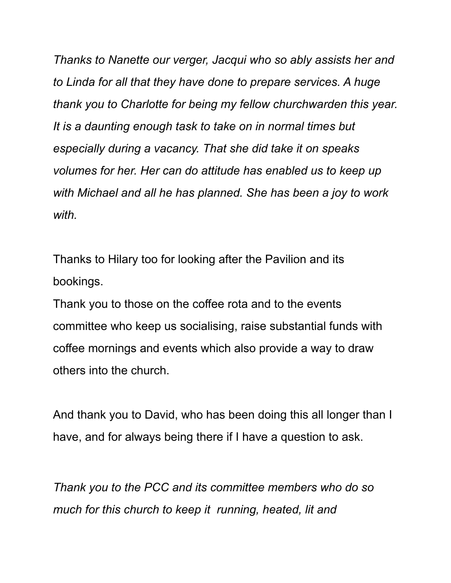*Thanks to Nanette our verger, Jacqui who so ably assists her and to Linda for all that they have done to prepare services. A huge thank you to Charlotte for being my fellow churchwarden this year. It is a daunting enough task to take on in normal times but especially during a vacancy. That she did take it on speaks volumes for her. Her can do attitude has enabled us to keep up with Michael and all he has planned. She has been a joy to work with.*

Thanks to Hilary too for looking after the Pavilion and its bookings.

Thank you to those on the coffee rota and to the events committee who keep us socialising, raise substantial funds with coffee mornings and events which also provide a way to draw others into the church.

And thank you to David, who has been doing this all longer than I have, and for always being there if I have a question to ask.

*Thank you to the PCC and its committee members who do so much for this church to keep it running, heated, lit and*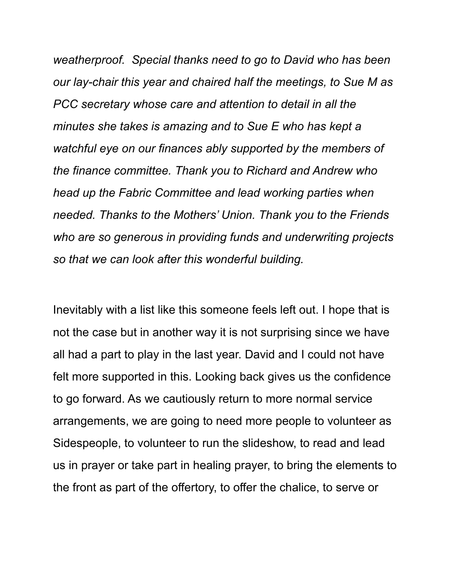*weatherproof. Special thanks need to go to David who has been our lay-chair this year and chaired half the meetings, to Sue M as PCC secretary whose care and attention to detail in all the minutes she takes is amazing and to Sue E who has kept a watchful eye on our finances ably supported by the members of the finance committee. Thank you to Richard and Andrew who head up the Fabric Committee and lead working parties when needed. Thanks to the Mothers' Union. Thank you to the Friends who are so generous in providing funds and underwriting projects so that we can look after this wonderful building.*

Inevitably with a list like this someone feels left out. I hope that is not the case but in another way it is not surprising since we have all had a part to play in the last year. David and I could not have felt more supported in this. Looking back gives us the confidence to go forward. As we cautiously return to more normal service arrangements, we are going to need more people to volunteer as Sidespeople, to volunteer to run the slideshow, to read and lead us in prayer or take part in healing prayer, to bring the elements to the front as part of the offertory, to offer the chalice, to serve or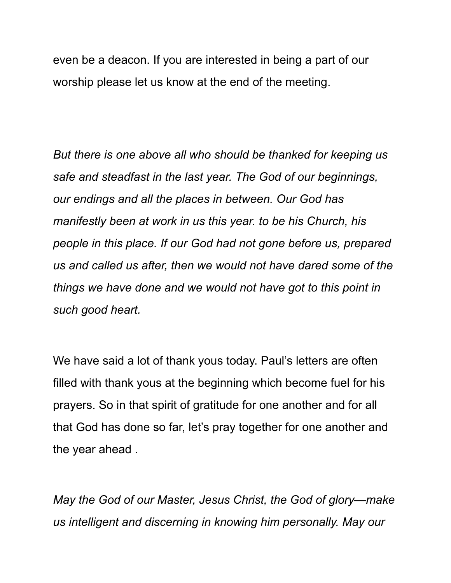even be a deacon. If you are interested in being a part of our worship please let us know at the end of the meeting.

*But there is one above all who should be thanked for keeping us safe and steadfast in the last year. The God of our beginnings, our endings and all the places in between. Our God has manifestly been at work in us this year. to be his Church, his people in this place. If our God had not gone before us, prepared us and called us after, then we would not have dared some of the things we have done and we would not have got to this point in such good heart.*

We have said a lot of thank yous today. Paul's letters are often filled with thank yous at the beginning which become fuel for his prayers. So in that spirit of gratitude for one another and for all that God has done so far, let's pray together for one another and the year ahead .

*May the God of our Master, Jesus Christ, the God of glory—make us intelligent and discerning in knowing him personally. May our*